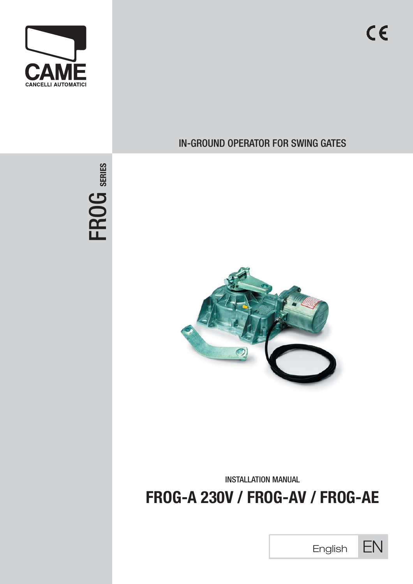

FROG **SERIES**

# IN-GROUND OPERATOR FOR SWING GATES



INSTALLATION MANUAL

**FROG-A 230V / FROG-AV / FROG-AE**



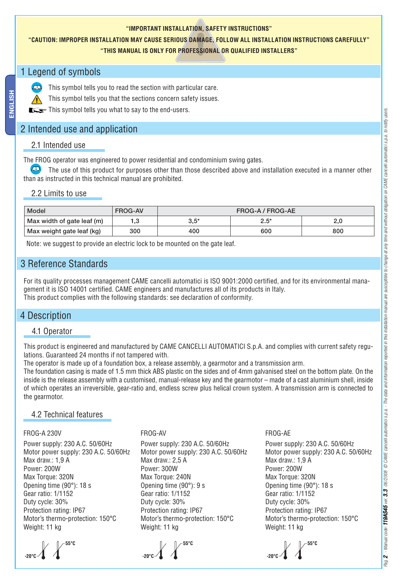#### **"IMPORTANT INSTALLATION, SAFETY INSTRUCTIONS"**

## **"CAUTION: IMPROPER INSTALLATION MAY CAUSE SERIOUS DAMAGE, FOLLOW ALL INSTALLATION INSTRUCTIONS CAREFULLY"**

#### **"THIS MANUAL IS ONLY FOR PROFESSIONAL OR QUALIFIED INSTALLERS"**

## 1 Legend of symbols

This symbol tells you to read the section with particular care.

This symbol tells you that the sections concern safety issues.

This symbol tells you what to say to the end-users.

## 2 Intended use and application

#### 2.1 Intended use

The FROG operator was engineered to power residential and condominium swing gates.

 The use of this product for purposes other than those described above and installation executed in a manner other than as instructed in this technical manual are prohibited.

#### 2.2 Limits to use

| Model                      | <b>FROG-AV</b> | FROG-A / FROG-AE |         |     |
|----------------------------|----------------|------------------|---------|-----|
| Max width of gate leaf (m) | 1,3            | $3.5*$           | $2.5^*$ | 2,0 |
| Max weight gate leaf (kg)  | 300            | 400              | 600     | 800 |

Note: we suggest to provide an electric lock to be mounted on the gate leaf.

## 3 Reference Standards

For its quality processes management CAME cancelli automatici is ISO 9001:2000 certified, and for its environmental management it is ISO 14001 certified. CAME engineers and manufactures all of its products in Italy. This product complies with the following standards: see declaration of conformity.

## 4 Description

### 4.1 Operator

This product is engineered and manufactured by CAME CANCELLI AUTOMATICI S.p.A. and complies with current safety regulations. Guaranteed 24 months if not tampered with.

The operator is made up of a foundation box, a release assembly, a gearmotor and a transmission arm.

The foundation casing is made of 1.5 mm thick ABS plastic on the sides and of 4mm galvanised steel on the bottom plate. On the inside is the release assembly with a customised, manual-release key and the gearmotor – made of a cast aluminium shell, inside of which operates an irreversible, gear-ratio and, endless screw plus helical crown system. A transmission arm is connected to the gearmotor.

### 4.2 Technical features

#### FROG-A 230V

Power supply: 230 A.C. 50/60Hz Motor power supply: 230 A.C. 50/60Hz Max draw.: 1,9 A Power: 200W Max Torque: 320N Opening time (90°): 18 s Gear ratio: 1/1152 Duty cycle: 30% Protection rating: IP67 Motor's thermo-protection: 150°C Weight: 11 kg



#### FROG-AV

Power supply: 230 A.C. 50/60Hz Motor power supply: 230 A.C. 50/60Hz Max draw.: 2,5 A Power: 300W Max Torque: 240N Opening time (90°): 9 s Gear ratio: 1/1152 Duty cycle: 30% Protection rating: IP67 Motor's thermo-protection: 150°C Weight: 11 kg



#### FROG-AE

Power supply: 230 A.C. 50/60Hz Motor power supply: 230 A.C. 50/60Hz Max draw.: 1,9 A Power: 200W Max Torque: 320N Opening time (90°): 18 s Gear ratio: 1/1152 Duty cycle: 30% Protection rating: IP67 Motor's thermo-protection: 150°C Weight: 11 kg

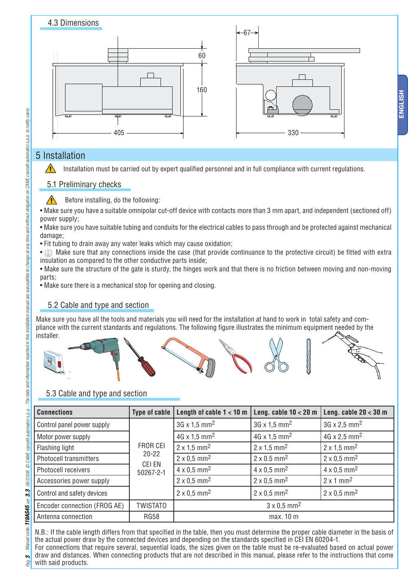

# 5 Installation

Installation must be carried out by expert qualified personnel and in full compliance with current regulations.

## 5.1 Preliminary checks

Before installing, do the following:

• Make sure you have a suitable omnipolar cut-off device with contacts more than 3 mm apart, and independent (sectioned off) power supply;

- Make sure you have suitable tubing and conduits for the electrical cables to pass through and be protected against mechanical damage:
- Fit tubing to drain away any water leaks which may cause oxidation;

•  $\bigoplus$  Make sure that any connections inside the case (that provide continuance to the protective circuit) be fitted with extra insulation as compared to the other conductive parts inside;

• Make sure the structure of the gate is sturdy, the hinges work and that there is no friction between moving and non-moving parts;

• Make sure there is a mechanical stop for opening and closing.

# 5.2 Cable and type and section

Make sure you have all the tools and materials you will need for the installation at hand to work in total safety and compliance with the current standards and regulations. The following figure illustrates the minimum equipment needed by the installer.



# 5.3 Cable and type and section

| <b>Connections</b>            | Type of cable $ $                            | Length of cable $1 < 10$ m      | Leng. cable $10 < 20$ m         | Leng. cable $20 < 30$ m         |
|-------------------------------|----------------------------------------------|---------------------------------|---------------------------------|---------------------------------|
| Control panel power supply    |                                              | $3G \times 1.5$ mm <sup>2</sup> | $3G \times 1.5$ mm <sup>2</sup> | $3G \times 2.5$ mm <sup>2</sup> |
| Motor power supply            | FROR CEI<br>$20 - 22$<br>CEI EN<br>50267-2-1 | $4G \times 1.5$ mm <sup>2</sup> | $4G \times 1.5$ mm <sup>2</sup> | $4G \times 2.5$ mm <sup>2</sup> |
| Flashing light                |                                              | $2 \times 1.5$ mm <sup>2</sup>  | $2 \times 1.5$ mm <sup>2</sup>  | $2 \times 1.5$ mm <sup>2</sup>  |
| <b>Photocell transmitters</b> |                                              | $2 \times 0.5$ mm <sup>2</sup>  | $2 \times 0.5$ mm <sup>2</sup>  | $2 \times 0.5$ mm <sup>2</sup>  |
| Photocell receivers           |                                              | $4 \times 0.5$ mm <sup>2</sup>  | $4 \times 0.5$ mm <sup>2</sup>  | $4 \times 0.5$ mm <sup>2</sup>  |
| Accessories power supply      |                                              | $2 \times 0.5$ mm <sup>2</sup>  | $2 \times 0.5$ mm <sup>2</sup>  | $2 \times 1$ mm <sup>2</sup>    |
| Control and safety devices    |                                              | $2 \times 0.5$ mm <sup>2</sup>  | $2 \times 0.5$ mm <sup>2</sup>  | $2 \times 0.5$ mm <sup>2</sup>  |
| Encoder connection (FROG AE)  | <b>TWISTATO</b>                              | $3 \times 0.5$ mm <sup>2</sup>  |                                 |                                 |
| Antenna connection            | <b>RG58</b>                                  | max. 10 m                       |                                 |                                 |

N.B.: If the cable length differs from that specified in the table, then you must determine the proper cable diameter in the basis of the actual power draw by the connected devices and depending on the standards specified in CEI EN 60204-1. For connections that require several, sequential loads, the sizes given on the table must be re-evaluated based on actual power draw and distances. When connecting products that are not described in this manual, please refer to the instructions that come with said products.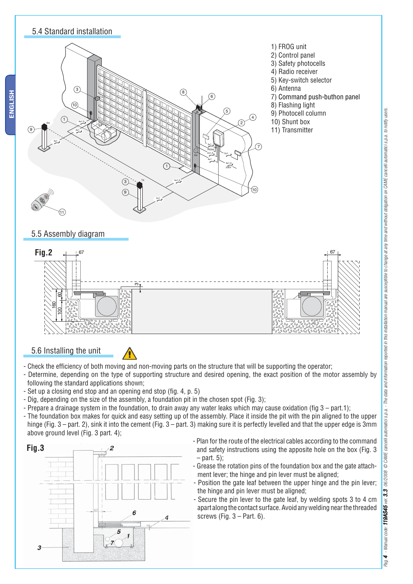



5.6 Installing the unit

- 
- Check the efficiency of both moving and non-moving parts on the structure that will be supporting the operator;
- Determine, depending on the type of supporting structure and desired opening, the exact position of the motor assembly by following the standard applications shown;
- $-$  Set up a closing end stop and an opening end stop (fig. 4, p. 5)
- Dig, depending on the size of the assembly, a foundation pit in the chosen spot (Fig. 3);
- Prepare a drainage system in the foundation, to drain away any water leaks which may cause oxidation (fig  $3$  part.1);
- The foundation box makes for quick and easy setting up of the assembly. Place it inside the pit with the pin aligned to the upper hinge (Fig. 3 – part. 2), sink it into the cement (Fig. 3 – part. 3) making sure it is perfectly levelled and that the upper edge is 3mm above ground level (Fig. 3 part. 4);



- Plan for the route of the electrical cables according to the command and safety instructions using the apposite hole on the box (Fig. 3  $-$  part. 5):
- Grease the rotation pins of the foundation box and the gate attachment lever; the hinge and pin lever must be aligned;
- Position the gate leaf between the upper hinge and the pin lever; the hinge and pin lever must be aligned;
- Secure the pin lever to the gate leaf, by welding spots 3 to 4 cm apart along the contact surface. Avoid any welding near the threaded screws (Fig.  $3 - Part$ , 6).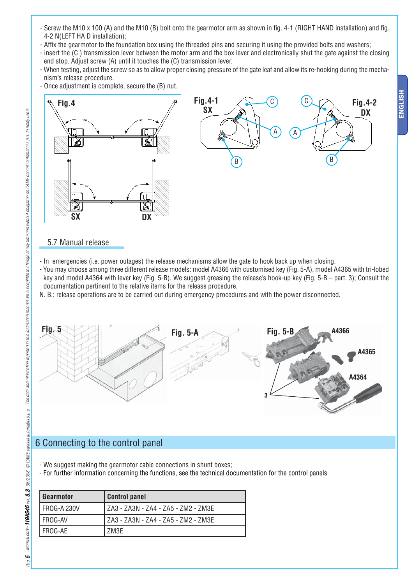- Screw the M10 x 100 (A) and the M10 (B) bolt onto the gearmotor arm as shown in fig. 4-1 (RIGHT HAND installation) and fig. 4-2 N(LEFT HA D installation);
- Affix the gearmotor to the foundation box using the threaded pins and securing it using the provided bolts and washers;
- insert the (C ) transmission lever between the motor arm and the box lever and electronically shut the gate against the closing end stop. Adjust screw (A) until it touches the (C) transmission lever.
- When testing, adjust the screw so as to allow proper closing pressure of the gate leaf and allow its re-hooking during the mechanism's release procedure.
- Once adjustment is complete, secure the (B) nut.





### 5.7 Manual release

- In emergencies (i.e. power outages) the release mechanisms allow the gate to hook back up when closing.
- You may choose among three different release models: model A4366 with customised key (Fig. 5-A), model A4365 with tri-lobed key and model A4364 with lever key (Fig. 5-B). We suggest greasing the release's hook-up key (Fig. 5-B – part. 3); Consult the documentation pertinent to the relative items for the release procedure.
- N. B.: release operations are to be carried out during emergency procedures and with the power disconnected.



## 6 Connecting to the control panel

- We suggest making the gearmotor cable connections in shunt boxes;
- For further information concerning the functions, see the technical documentation for the control panels.

| Gearmotor   | <b>Control panel</b>                |
|-------------|-------------------------------------|
| FROG-A 230V | ZA3 - ZA3N - ZA4 - ZA5 - ZM2 - ZM3E |
| FROG-AV     | ZA3 - ZA3N - ZA4 - ZA5 - ZM2 - ZM3E |
| FROG-AE     | 7M3F                                |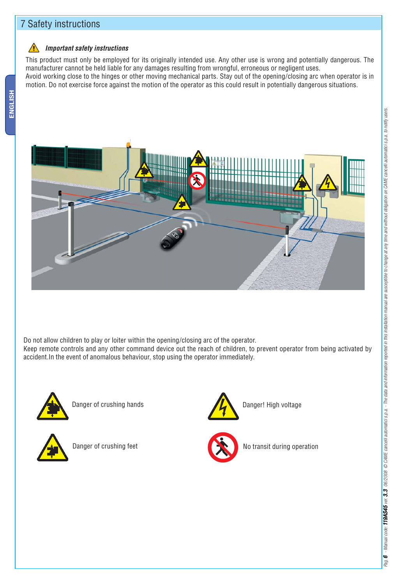## 7 Safety instructions

#### *Important safety instructions*

This product must only be employed for its originally intended use. Any other use is wrong and potentially dangerous. The manufacturer cannot be held liable for any damages resulting from wrongful, erroneous or negligent uses.

Avoid working close to the hinges or other moving mechanical parts. Stay out of the opening/closing arc when operator is in motion. Do not exercise force against the motion of the operator as this could result in potentially dangerous situations.



Do not allow children to play or loiter within the opening/closing arc of the operator. Keep remote controls and any other command device out the reach of children, to prevent operator from being activated by accident.In the event of anomalous behaviour, stop using the operator immediately.



Danger of crushing hands



Danger of crushing feet





No transit during operation

Pag.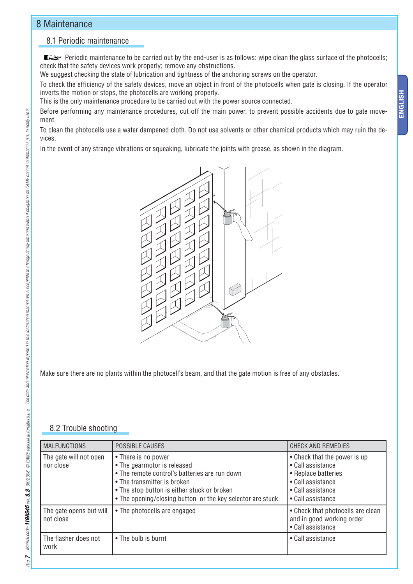## 8 Maintenance

## 8.1 Periodic maintenance

**Periodic maintenance to be carried out by the end-user is as follows: wipe clean the glass surface of the photocells;** check that the safety devices work properly; remove any obstructions.

We suggest checking the state of lubrication and tightness of the anchoring screws on the operator.

To check the efficiency of the safety devices, move an object in front of the photocells when gate is closing. If the operator inverts the motion or stops, the photocells are working properly.

This is the only maintenance procedure to be carried out with the power source connected.

Before performing any maintenance procedures, cut off the main power, to prevent possible accidents due to gate movement.

To clean the photocells use a water dampened cloth. Do not use solvents or other chemical products which may ruin the devices.

In the event of any strange vibrations or squeaking, lubricate the joints with grease, as shown in the diagram.



Make sure there are no plants within the photocell's beam, and that the gate motion is free of any obstacles.

## 8.2 Trouble shooting

| <b>MALFUNCTIONS</b>                  | <b>POSSIBLE CAUSES</b>                                                                                                                                                                                                                          | <b>CHECK AND REMEDIES</b>                                                                                                               |
|--------------------------------------|-------------------------------------------------------------------------------------------------------------------------------------------------------------------------------------------------------------------------------------------------|-----------------------------------------------------------------------------------------------------------------------------------------|
| The gate will not open<br>nor close  | • There is no power<br>• The gearmotor is released<br>• The remote control's batteries are run down<br>• The transmitter is broken<br>• The stop button is either stuck or broken<br>• The opening/closing button or the key selector are stuck | • Check that the power is up<br>• Call assistance<br>• Replace batteries<br>• Call assistance<br>• Call assistance<br>• Call assistance |
| The gate opens but will<br>not close | • The photocells are engaged                                                                                                                                                                                                                    | • Check that photocells are clean<br>and in good working order<br>• Call assistance                                                     |
| The flasher does not<br>work         | • The bulb is burnt                                                                                                                                                                                                                             | • Call assistance                                                                                                                       |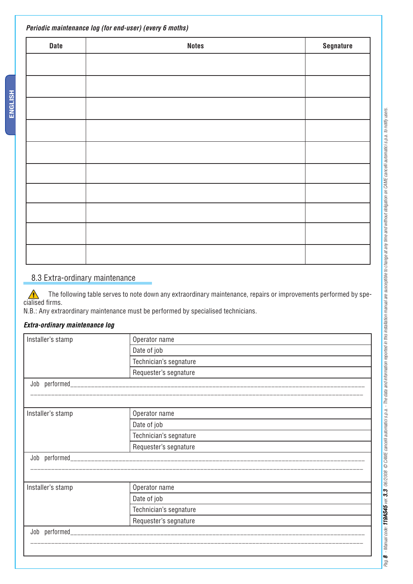| Periodic maintenance log (for end-user) (every 6 moths) |              |           |
|---------------------------------------------------------|--------------|-----------|
| <b>Date</b>                                             | <b>Notes</b> | Segnature |
|                                                         |              |           |
|                                                         |              |           |
|                                                         |              |           |
|                                                         |              |           |
|                                                         |              |           |
|                                                         |              |           |
|                                                         |              |           |
|                                                         |              |           |
|                                                         |              |           |
|                                                         |              |           |

## 8.3 Extra-ordinary maintenance

 The following table serves to note down any extraordinary maintenance, repairs or improvements performed by spe-The found in the found firms.

N.B.: Any extraordinary maintenance must be performed by specialised technicians.

#### *Extra-ordinary maintenance log*

ENGLISH **ENGLISH**

| Installer's stamp | Operator name          |  |
|-------------------|------------------------|--|
|                   | Date of job            |  |
|                   | Technician's segnature |  |
|                   | Requester's segnature  |  |
|                   |                        |  |
|                   |                        |  |
| Installer's stamp | Operator name          |  |
|                   | Date of job            |  |
|                   | Technician's segnature |  |
|                   | Requester's segnature  |  |
|                   |                        |  |
|                   |                        |  |
|                   |                        |  |
| Installer's stamp | Operator name          |  |
|                   | Date of job            |  |
|                   | Technician's segnature |  |
|                   | Requester's segnature  |  |
| Job performed_    |                        |  |
|                   |                        |  |
|                   |                        |  |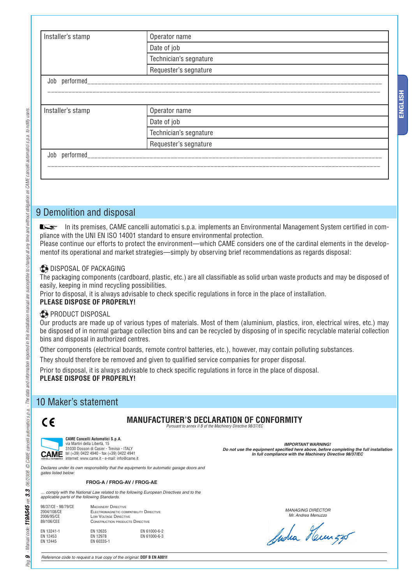| Installer's stamp | Operator name          |  |  |
|-------------------|------------------------|--|--|
|                   | Date of job            |  |  |
|                   | Technician's segnature |  |  |
|                   | Requester's segnature  |  |  |
| Job performed     |                        |  |  |
|                   |                        |  |  |
|                   |                        |  |  |
| Installer's stamp | Operator name          |  |  |
|                   | Date of job            |  |  |
|                   | Technician's segnature |  |  |
|                   | Requester's segnature  |  |  |
| performed_<br>Job |                        |  |  |
|                   |                        |  |  |
|                   |                        |  |  |

## 9 Demolition and disposal

In its premises, CAME cancelli automatici s.p.a. implements an Environmental Management System certified in compliance with the UNI EN ISO 14001 standard to ensure environmental protection.

Please continue our efforts to protect the environment—which CAME considers one of the cardinal elements in the developmentof its operational and market strategies—simply by observing brief recommendations as regards disposal:

#### **DISPOSAL OF PACKAGING**

The packaging components (cardboard, plastic, etc.) are all classifiable as solid urban waste products and may be disposed of easily, keeping in mind recycling possibilities.

Prior to disposal, it is always advisable to check specific regulations in force in the place of installation.

## **PLEASE DISPOSE OF PROPERLY!**

#### **PRODUCT DISPOSAL**

Our products are made up of various types of materials. Most of them (aluminium, plastics, iron, electrical wires, etc.) may be disposed of in normal garbage collection bins and can be recycled by disposing of in specific recyclable material collection bins and disposal in authorized centres.

Other components (electrical boards, remote control batteries, etc.), however, may contain polluting substances.

They should therefore be removed and given to qualified service companies for proper disposal.

Prior to disposal, it is always advisable to check specific regulations in force in the place of disposal. **PLEASE DISPOSE OF PROPERLY!**

## 10 Maker's statement

# $\epsilon$



 $\circ$ Pao.

**CAME Cancelli Automatici S.p.A.** via Martiri della Libertà, 15 31030 Dosson di Casier - Treviso - ITALY<br>**CAME** tel (+39) 0422 4940 - fax (+39) 0422 4941 internet: www.came.it - e-mail: info@came.it

## **MANUFACTURER'S DECLARATION OF CONFORMITY**

*Pursuant to annex II B of the Machinery Directive 98/37/EC* 

*IMPORTANT WARNING!* Do not use the equipment specified here above, before completing the full installation *In full compliance with the Machinery Directive 98/37/EC*

*Declares under its own responsibility that the equipments for automatic garage doors and gates listed below:*

#### **FROG-A / FROG-AV / FROG-AE**

*… comply with the National Law related to the following European Directives and to the applicable parts of the following Standards.*

| 98/37/CE - 98/79/CE<br>2004/108/CE<br>2006/95/CE<br>89/106/CEE |                                    | <b>MACHINERY DIRECTIVE</b><br>ELECTROMAGNETIC COMPATIBILITY DIRECTIVE<br>LOW VOLTAGE DIRECTIVE<br><b>CONSTRUCTION PRODUCTS DIRECTIVE</b> |  |
|----------------------------------------------------------------|------------------------------------|------------------------------------------------------------------------------------------------------------------------------------------|--|
| EN 13241-1<br>EN 12453<br>EN 12445                             | EN 12635<br>EN 12978<br>EN 60335-1 | EN 61000-6-2<br>EN 61000-6-3                                                                                                             |  |

*MANAGING DIRECTOR Mr. Andrea Menuzzo*

Sucha Heunza

*Reference code to request a true copy of the original:* **DDF B EN A001f**